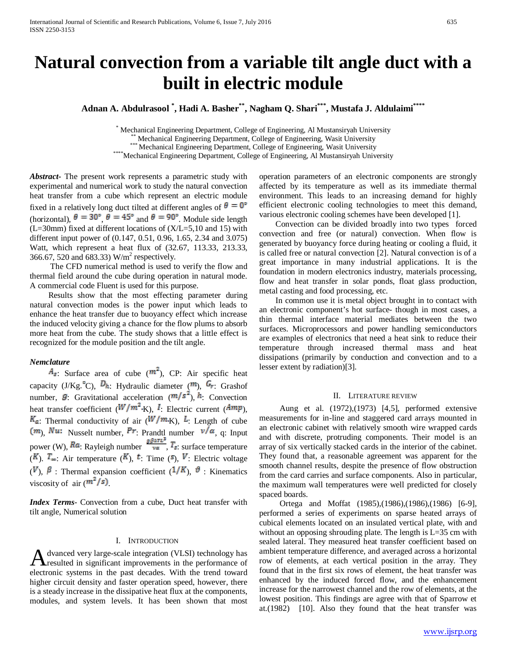# **Natural convection from a variable tilt angle duct with a built in electric module**

**Adnan A. Abdulrasool \* , Hadi A. Basher\*\*, Nagham Q. Shari\*\*\*, Mustafa J. Aldulaimi\*\*\*\***

\* Mechanical Engineering Department, College of Engineering, Al Mustansiryah University<br>\*\*\* Mechanical Engineering Department, College of Engineering, Wasit University<br>\*\*\* Mechanical Engineering Department, College of Engi

*Abstract***-** The present work represents a parametric study with experimental and numerical work to study the natural convection heat transfer from a cube which represent an electric module fixed in a relatively long duct tilted at different angles of  $\theta = 0^{\circ}$ (horizontal),  $\theta = 30^{\circ}$ ,  $\theta = 45^{\circ}$  and  $\theta = 90^{\circ}$ . Module side length  $(L=30mm)$  fixed at different locations of  $(X/L=5,10$  and 15) with different input power of (0.147, 0.51, 0.96, 1.65, 2.34 and 3.075) Watt, which represent a heat flux of (32.67, 113.33, 213.33, 366.67, 520 and 683.33)  $W/m^2$  respectively.

 The CFD numerical method is used to verify the flow and thermal field around the cube during operation in natural mode. A commercial code Fluent is used for this purpose.

 Results show that the most effecting parameter during natural convection modes is the power input which leads to enhance the heat transfer due to buoyancy effect which increase the induced velocity giving a chance for the flow plums to absorb more heat from the cube. The study shows that a little effect is recognized for the module position and the tilt angle.

# *Nemclature*

 $A_{\overline{a}}$ : Surface area of cube ( $\overline{m}^2$ ), CP: Air specific heat capacity (J/Kg.<sup>"C</sup>),  $D_{h}$ : Hydraulic diameter ( $m$ ),  $G_{r}$ : Grashof number,  $\vec{B}$ : Gravitational acceleration  $(m/s^2)$ ,  $\hat{h}$ : Convection heat transfer coefficient ( $W/m^2$ <sub>K</sub>), I. Electric current ( $Amp$ ),  $K_{\alpha}$ : Thermal conductivity of air ( $W/m_K$ ),  $\bar{k}$ : Length of cube  $(m)$ , Nusselt number, Pr: Prandtl number  $v/a$ , q: Input power (W),  $Ra$ : Rayleigh number  $\frac{g\beta a\pi L^3}{\sqrt{\pi}}$ ,  $T_s$ : surface temperature  $(K)$ .  $\mathbb{F}_{\infty}$ : Air temperature  $(K)$ ,  $\mathbb{F}_{\infty}$ : Time  $(\mathbb{F}_{2})$ ,  $\mathbb{F}_{\infty}$ : Electric voltage  $(V, \beta)$ : Thermal expansion coefficient  $(1/K)$ ,  $\theta$ : Kinematics viscosity of air  $(\mathbf{m}^2/\mathbf{s})$ .

*Index Terms*- Convection from a cube, Duct heat transfer with tilt angle, Numerical solution

#### I. INTRODUCTION

dvanced very large-scale integration (VLSI) technology has A dvanced very large-scale integration (VLSI) technology has<br>resulted in significant improvements in the performance of electronic systems in the past decades. With the trend toward higher circuit density and faster operation speed, however, there is a steady increase in the dissipative heat flux at the components, modules, and system levels. It has been shown that most

operation parameters of an electronic components are strongly affected by its temperature as well as its immediate thermal environment. This leads to an increasing demand for highly efficient electronic cooling technologies to meet this demand, various electronic cooling schemes have been developed [1].

 Convection can be divided broadly into two types forced convection and free (or natural) convection. When flow is generated by buoyancy force during heating or cooling a fluid, it is called free or natural convection [2]. Natural convection is of a great importance in many industrial applications. It is the foundation in modern electronics industry, materials processing, flow and heat transfer in solar ponds, float glass production, metal casting and food processing, etc.

 In common use it is metal object brought in to contact with an electronic component's hot surface- though in most cases, a thin thermal interface material mediates between the two surfaces. Microprocessors and power handling semiconductors are examples of electronics that need a heat sink to reduce their temperature through increased thermal mass and heat dissipations (primarily by conduction and convection and to a lesser extent by radiation)[3].

# II. LITERATURE REVIEW

 Aung et al. (1972),(1973) [4,5], performed extensive measurements for in-line and staggered card arrays mounted in an electronic cabinet with relatively smooth wire wrapped cards and with discrete, protruding components. Their model is an array of six vertically stacked cards in the interior of the cabinet. They found that, a reasonable agreement was apparent for the smooth channel results, despite the presence of flow obstruction from the card carries and surface components. Also in particular, the maximum wall temperatures were well predicted for closely spaced boards.

 Ortega and Moffat (1985),(1986),(1986),(1986) [6-9], performed a series of experiments on sparse heated arrays of cubical elements located on an insulated vertical plate, with and without an opposing shrouding plate. The length is L=35 cm with sealed lateral. They measured heat transfer coefficient based on ambient temperature difference, and averaged across a horizontal row of elements, at each vertical position in the array. They found that in the first six rows of element, the heat transfer was enhanced by the induced forced flow, and the enhancement increase for the narrowest channel and the row of elements, at the lowest position. This findings are agree with that of Sparrow et at.(1982) [10]. Also they found that the heat transfer was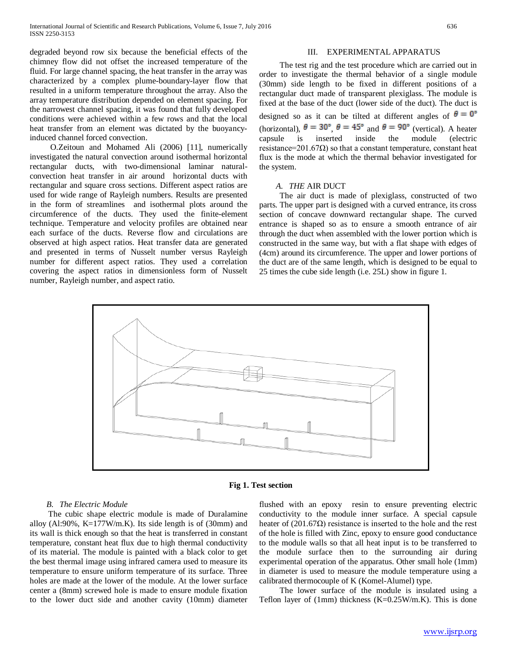degraded beyond row six because the beneficial effects of the chimney flow did not offset the increased temperature of the fluid. For large channel spacing, the heat transfer in the array was characterized by a complex plume-boundary-layer flow that resulted in a uniform temperature throughout the array. Also the array temperature distribution depended on element spacing. For the narrowest channel spacing, it was found that fully developed conditions were achieved within a few rows and that the local heat transfer from an element was dictated by the buoyancyinduced channel forced convection.

 O.Zeitoun and Mohamed Ali (2006) [11], numerically investigated the natural convection around isothermal horizontal rectangular ducts, with two-dimensional laminar naturalconvection heat transfer in air around horizontal ducts with rectangular and square cross sections. Different aspect ratios are used for wide range of Rayleigh numbers. Results are presented in the form of streamlines and isothermal plots around the circumference of the ducts. They used the finite-element technique. Temperature and velocity profiles are obtained near each surface of the ducts. Reverse flow and circulations are observed at high aspect ratios. Heat transfer data are generated and presented in terms of Nusselt number versus Rayleigh number for different aspect ratios. They used a correlation covering the aspect ratios in dimensionless form of Nusselt number, Rayleigh number, and aspect ratio.

# III. EXPERIMENTAL APPARATUS

 The test rig and the test procedure which are carried out in order to investigate the thermal behavior of a single module (30mm) side length to be fixed in different positions of a rectangular duct made of transparent plexiglass. The module is fixed at the base of the duct (lower side of the duct). The duct is designed so as it can be tilted at different angles of  $\theta = 0^{\circ}$ (horizontal),  $\theta = 30^{\circ}$ ,  $\theta = 45^{\circ}$  and  $\theta = 90^{\circ}$  (vertical). A heater capsule is inserted inside the module (electric resistance=201.67 $\Omega$ ) so that a constant temperature, constant heat flux is the mode at which the thermal behavior investigated for the system.

# *A. THE* AIR DUCT

 The air duct is made of plexiglass, constructed of two parts. The upper part is designed with a curved entrance, its cross section of concave downward rectangular shape. The curved entrance is shaped so as to ensure a smooth entrance of air through the duct when assembled with the lower portion which is constructed in the same way, but with a flat shape with edges of (4cm) around its circumference. The upper and lower portions of the duct are of the same length, which is designed to be equal to 25 times the cube side length (i.e. 25L) show in figure 1.



# **Fig 1. Test section**

#### *B. The Electric Module*

 The cubic shape electric module is made of Duralamine alloy (Al:90%, K=177W/m.K). Its side length is of  $(30 \text{mm})$  and its wall is thick enough so that the heat is transferred in constant temperature, constant heat flux due to high thermal conductivity of its material. The module is painted with a black color to get the best thermal image using infrared camera used to measure its temperature to ensure uniform temperature of its surface. Three holes are made at the lower of the module. At the lower surface center a (8mm) screwed hole is made to ensure module fixation to the lower duct side and another cavity (10mm) diameter flushed with an epoxy resin to ensure preventing electric conductivity to the module inner surface. A special capsule heater of  $(201.67\Omega)$  resistance is inserted to the hole and the rest of the hole is filled with Zinc, epoxy to ensure good conductance to the module walls so that all heat input is to be transferred to the module surface then to the surrounding air during experimental operation of the apparatus. Other small hole (1mm) in diameter is used to measure the module temperature using a calibrated thermocouple of K (Komel-Alumel) type.

 The lower surface of the module is insulated using a Teflon layer of (1mm) thickness (K=0.25W/m.K). This is done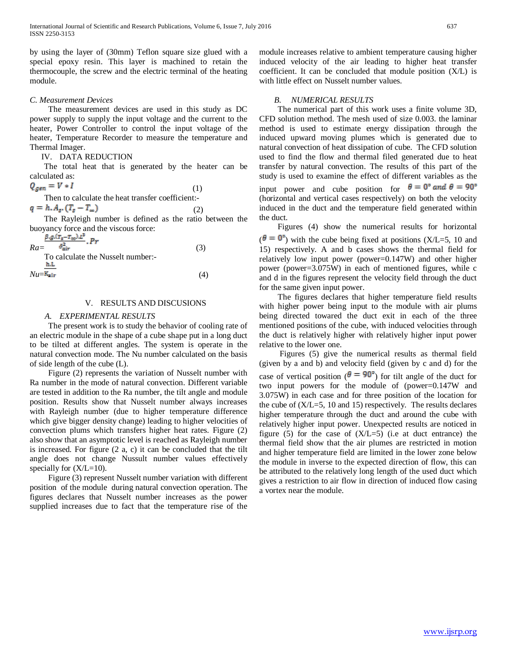by using the layer of (30mm) Teflon square size glued with a special epoxy resin. This layer is machined to retain the thermocouple, the screw and the electric terminal of the heating module.

# *C. Measurement Devices*

 The measurement devices are used in this study as DC power supply to supply the input voltage and the current to the heater, Power Controller to control the input voltage of the heater, Temperature Recorder to measure the temperature and Thermal Imager.

# IV. DATA REDUCTION

 The total heat that is generated by the heater can be calculated as:

$$
Q_{gen} = V * I \tag{1}
$$

Then to calculate the heat transfer coefficient:-

$$
q = h \cdot A_{\sigma} (T_{\sigma} - T_{\infty}) \tag{2}
$$

 The Rayleigh number is defined as the ratio between the buoyancy force and the viscous force:

| $\frac{\beta_0 \beta_1 \Gamma_2 - \Gamma_{\infty} \beta_1 \Gamma}{p_T}$<br>$Ra=$<br>To calculate the Nusselt number:- | (3) |
|-----------------------------------------------------------------------------------------------------------------------|-----|
| h.L<br>$Nu = K_{\rm air}$                                                                                             | (4) |

### V. RESULTS AND DISCUSIONS

### *A. EXPERIMENTAL RESULTS*

 The present work is to study the behavior of cooling rate of an electric module in the shape of a cube shape put in a long duct to be tilted at different angles. The system is operate in the natural convection mode. The Nu number calculated on the basis of side length of the cube (L).

 Figure (2) represents the variation of Nusselt number with Ra number in the mode of natural convection. Different variable are tested in addition to the Ra number, the tilt angle and module position. Results show that Nusselt number always increases with Rayleigh number (due to higher temperature difference which give bigger density change) leading to higher velocities of convection plums which transfers higher heat rates. Figure (2) also show that an asymptotic level is reached as Rayleigh number is increased. For figure (2 a, c) it can be concluded that the tilt angle does not change Nussult number values effectively specially for  $(X/L=10)$ .

 Figure (3) represent Nusselt number variation with different position of the module during natural convection operation. The figures declares that Nusselt number increases as the power supplied increases due to fact that the temperature rise of the

module increases relative to ambient temperature causing higher induced velocity of the air leading to higher heat transfer coefficient. It can be concluded that module position (X/L) is with little effect on Nusselt number values.

# *B. NUMERICAL RESULTS*

 The numerical part of this work uses a finite volume 3D, CFD solution method. The mesh used of size 0.003. the laminar method is used to estimate energy dissipation through the induced upward moving plumes which is generated due to natural convection of heat dissipation of cube. The CFD solution used to find the flow and thermal filed generated due to heat transfer by natural convection. The results of this part of the study is used to examine the effect of different variables as the input power and cube position for  $\theta = 0^{\circ}$  and  $\theta = 90^{\circ}$ (horizontal and vertical cases respectively) on both the velocity induced in the duct and the temperature field generated within the duct.

 Figures (4) show the numerical results for horizontal  $(\theta = 0^{\circ})$  with the cube being fixed at positions (X/L=5, 10 and 15) respectively. A and b cases shows the thermal field for relatively low input power (power=0.147W) and other higher power (power=3.075W) in each of mentioned figures, while c and d in the figures represent the velocity field through the duct for the same given input power.

 The figures declares that higher temperature field results with higher power being input to the module with air plums being directed towared the duct exit in each of the three mentioned positions of the cube, with induced velocities through the duct is relatively higher with relatively higher input power relative to the lower one.

 Figures (5) give the numerical results as thermal field (given by a and b) and velocity field (given by c and d) for the case of vertical position ( $\theta = 90^{\circ}$ ) for tilt angle of the duct for two input powers for the module of (power=0.147W and 3.075W) in each case and for three position of the location for the cube of  $(X/L=5, 10, and 15)$  respectively. The results declares higher temperature through the duct and around the cube with relatively higher input power. Unexpected results are noticed in figure (5) for the case of  $(X/L=5)$  (i.e at duct entrance) the thermal field show that the air plumes are restricted in motion and higher temperature field are limited in the lower zone below the module in inverse to the expected direction of flow, this can be attributed to the relatively long length of the used duct which gives a restriction to air flow in direction of induced flow casing a vortex near the module.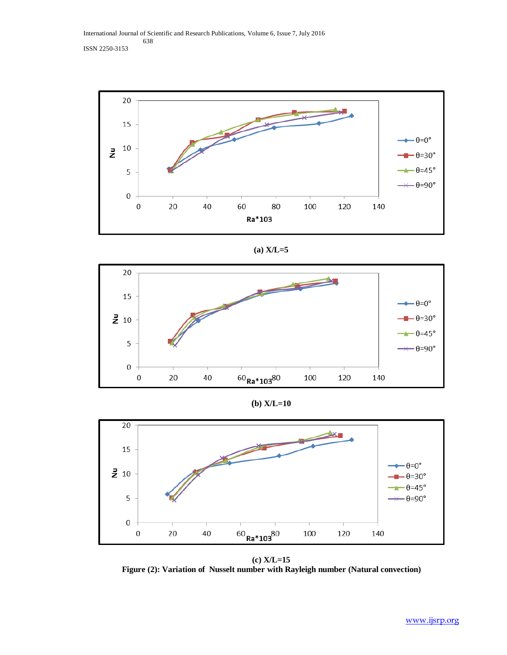International Journal of Scientific and Research Publications, Volume 6, Issue 7, July 2016 638 ISSN 2250-3153



(a) 
$$
X/L=5
$$



**(b) X/L=10**



**(c) X/L=15 Figure (2): Variation of Nusselt number with Rayleigh number (Natural convection)**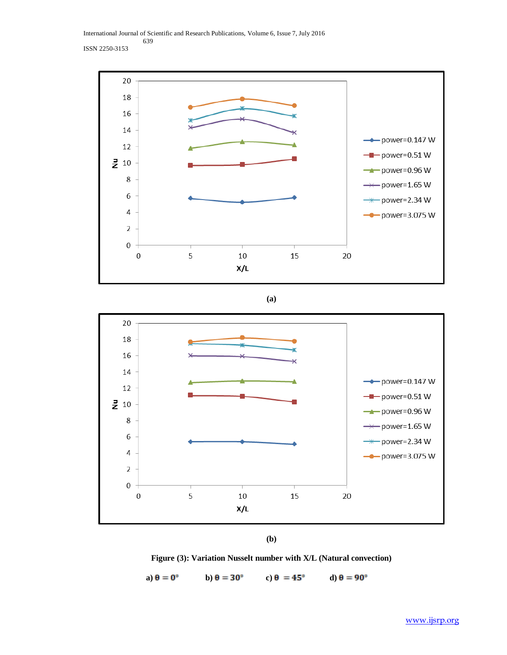International Journal of Scientific and Research Publications, Volume 6, Issue 7, July 2016 639 ISSN 2250-3153



**(a)**



**(b)**

**Figure (3): Variation Nusselt number with X/L (Natural convection)**

**a**)  $\theta = 0^{\circ}$  **b**)  $\theta = 30^{\circ}$  **c**)  $\theta = 45^{\circ}$  **d**)  $\theta = 90^{\circ}$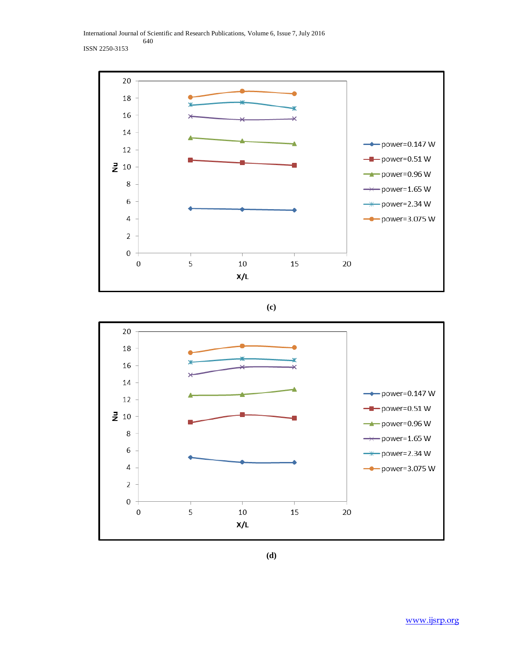International Journal of Scientific and Research Publications, Volume 6, Issue 7, July 2016 640 ISSN 2250-3153



**(c)**



**(d)**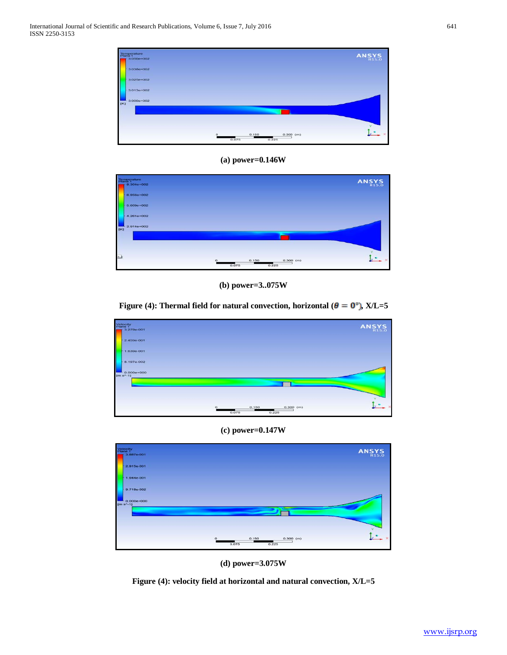

**(a) power=0.146W**



**(b) power=3..075W**

**Figure (4): Thermal field for natural convection, horizontal (** $\theta = 0^{\circ}$ **), X/L=5** 



**(c) power=0.147W**



**(d) power=3.075W**

**Figure (4): velocity field at horizontal and natural convection, X/L=5**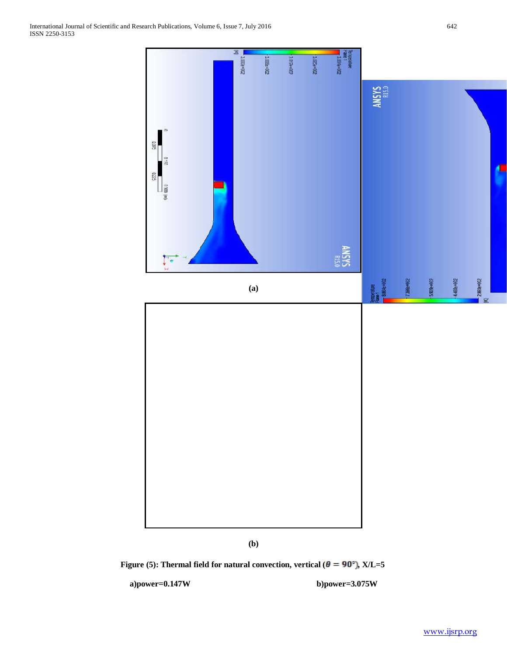

**(b)**

**Figure (5): Thermal field for natural convection, vertical (** $\theta = 90^\circ$ **), X/L=5** 

**a)power=0.147W b)power=3.075W**

[www.ijsrp.org](http://ijsrp.org/)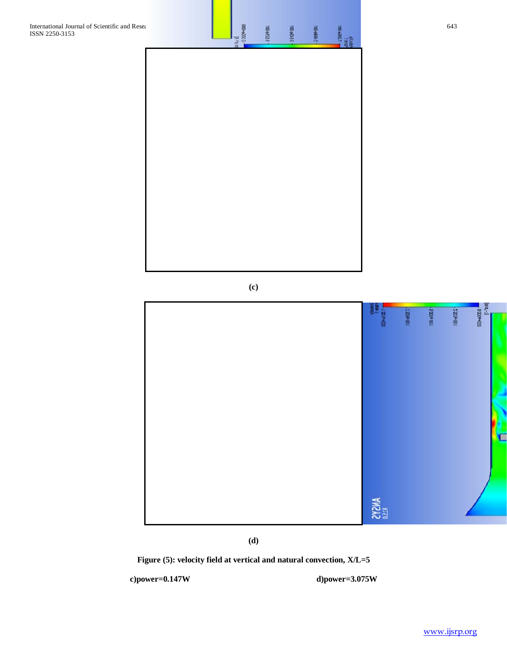**(c)**



**(d)**

**Figure (5): velocity field at vertical and natural convection, X/L=5**

**c)power=0.147W d)power=3.075W**